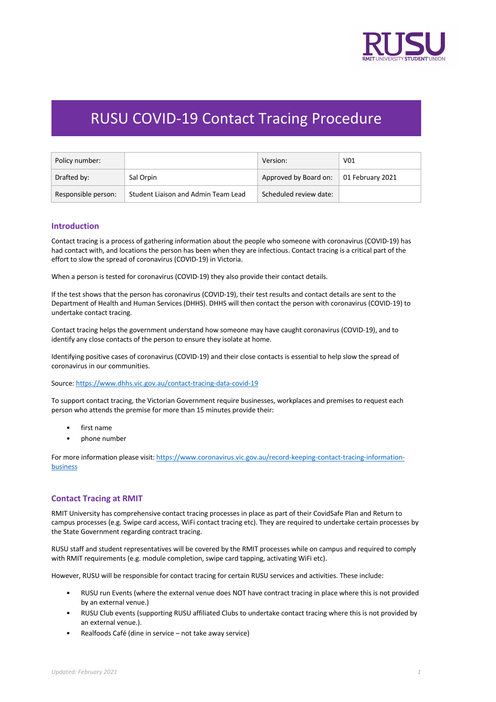

# RUSU COVID-19 Contact Tracing Procedure

| Policy number:      |                                     | Version:               | V <sub>01</sub>  |
|---------------------|-------------------------------------|------------------------|------------------|
| Drafted by:         | Sal Orpin                           | Approved by Board on:  | 01 February 2021 |
| Responsible person: | Student Liaison and Admin Team Lead | Scheduled review date: |                  |

## **Introduction**

Contact tracing is a process of gathering information about the people who someone with coronavirus (COVID-19) has had contact with, and locations the person has been when they are infectious. Contact tracing is a critical part of the effort to slow the spread of coronavirus (COVID-19) in Victoria.

When a person is tested for coronavirus (COVID-19) they also provide their contact details.

If the test shows that the person has coronavirus (COVID-19), their test results and contact details are sent to the Department of Health and Human Services (DHHS). DHHS will then contact the person with coronavirus (COVID-19) to undertake contact tracing.

Contact tracing helps the government understand how someone may have caught coronavirus (COVID-19), and to identify any close contacts of the person to ensure they isolate at home.

Identifying positive cases of coronavirus (COVID-19) and their close contacts is essential to help slow the spread of coronavirus in our communities.

Source: https://www.dhhs.vic.gov.au/contact-tracing-data-covid-19

To support contact tracing, the Victorian Government require businesses, workplaces and premises to request each person who attends the premise for more than 15 minutes provide their:

- first name
- phone number

For more information please visit: https://www.coronavirus.vic.gov.au/record-keeping-contact-tracing-informationbusiness

#### **Contact Tracing at RMIT**

RMIT University has comprehensive contact tracing processes in place as part of their CovidSafe Plan and Return to campus processes (e.g. Swipe card access, WiFi contact tracing etc). They are required to undertake certain processes by the State Government regarding contract tracing.

RUSU staff and student representatives will be covered by the RMIT processes while on campus and required to comply with RMIT requirements (e.g. module completion, swipe card tapping, activating WiFi etc).

However, RUSU will be responsible for contact tracing for certain RUSU services and activities. These include:

- RUSU run Events (where the external venue does NOT have contract tracing in place where this is not provided by an external venue.)
- RUSU Club events (supporting RUSU affiliated Clubs to undertake contact tracing where this is not provided by an external venue.).
- Realfoods Café (dine in service not take away service)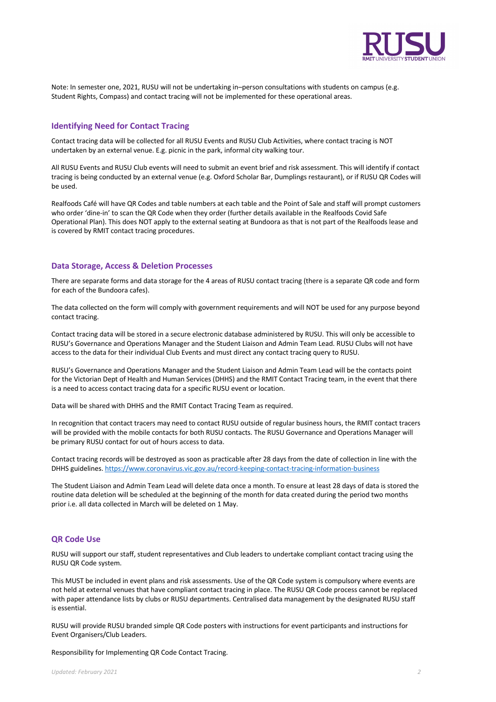

Note: In semester one, 2021, RUSU will not be undertaking in–person consultations with students on campus (e.g. Student Rights, Compass) and contact tracing will not be implemented for these operational areas.

# **Identifying Need for Contact Tracing**

Contact tracing data will be collected for all RUSU Events and RUSU Club Activities, where contact tracing is NOT undertaken by an external venue. E.g. picnic in the park, informal city walking tour.

All RUSU Events and RUSU Club events will need to submit an event brief and risk assessment. This will identify if contact tracing is being conducted by an external venue (e.g. Oxford Scholar Bar, Dumplings restaurant), or if RUSU QR Codes will be used.

Realfoods Café will have QR Codes and table numbers at each table and the Point of Sale and staff will prompt customers who order 'dine-in' to scan the QR Code when they order (further details available in the Realfoods Covid Safe Operational Plan). This does NOT apply to the external seating at Bundoora as that is not part of the Realfoods lease and is covered by RMIT contact tracing procedures.

## **Data Storage, Access & Deletion Processes**

There are separate forms and data storage for the 4 areas of RUSU contact tracing (there is a separate QR code and form for each of the Bundoora cafes).

The data collected on the form will comply with government requirements and will NOT be used for any purpose beyond contact tracing.

Contact tracing data will be stored in a secure electronic database administered by RUSU. This will only be accessible to RUSU's Governance and Operations Manager and the Student Liaison and Admin Team Lead. RUSU Clubs will not have access to the data for their individual Club Events and must direct any contact tracing query to RUSU.

RUSU's Governance and Operations Manager and the Student Liaison and Admin Team Lead will be the contacts point for the Victorian Dept of Health and Human Services (DHHS) and the RMIT Contact Tracing team, in the event that there is a need to access contact tracing data for a specific RUSU event or location.

Data will be shared with DHHS and the RMIT Contact Tracing Team as required.

In recognition that contact tracers may need to contact RUSU outside of regular business hours, the RMIT contact tracers will be provided with the mobile contacts for both RUSU contacts. The RUSU Governance and Operations Manager will be primary RUSU contact for out of hours access to data.

Contact tracing records will be destroyed as soon as practicable after 28 days from the date of collection in line with the DHHS guidelines. https://www.coronavirus.vic.gov.au/record-keeping-contact-tracing-information-business

The Student Liaison and Admin Team Lead will delete data once a month. To ensure at least 28 days of data is stored the routine data deletion will be scheduled at the beginning of the month for data created during the period two months prior i.e. all data collected in March will be deleted on 1 May.

#### **QR Code Use**

RUSU will support our staff, student representatives and Club leaders to undertake compliant contact tracing using the RUSU QR Code system.

This MUST be included in event plans and risk assessments. Use of the QR Code system is compulsory where events are not held at external venues that have compliant contact tracing in place. The RUSU QR Code process cannot be replaced with paper attendance lists by clubs or RUSU departments. Centralised data management by the designated RUSU staff is essential.

RUSU will provide RUSU branded simple QR Code posters with instructions for event participants and instructions for Event Organisers/Club Leaders.

Responsibility for Implementing QR Code Contact Tracing.